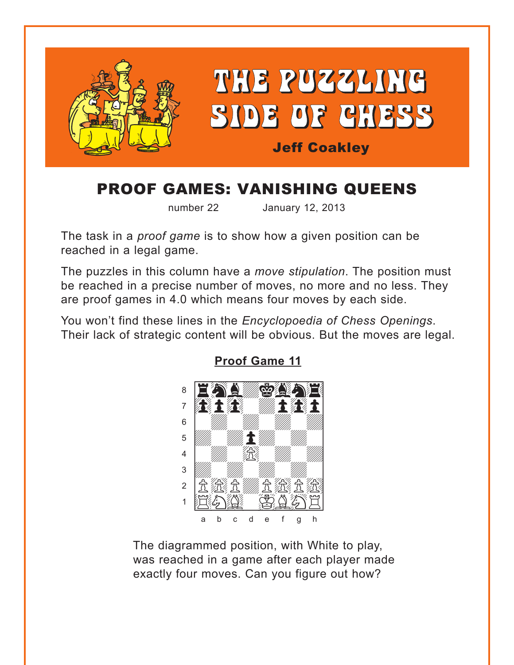<span id="page-0-0"></span>

# **PROOF GAMES: VANISHING QUEENS**

number 22

January 12, 2013

The task in a *proof game* is to show how a given position can be reached in a legal game.

The puzzles in this column have a move stipulation. The position must be reached in a precise number of moves, no more and no less. They are proof games in 4.0 which means four moves by each side.

You won't find these lines in the Encyclopoedia of Chess Openings. Their lack of strategic content will be obvious. But the moves are legal.



**Proof Game 11** 

The diagrammed position, with White to play, was reached in a game after each player made exactly four moves. Can you figure out how?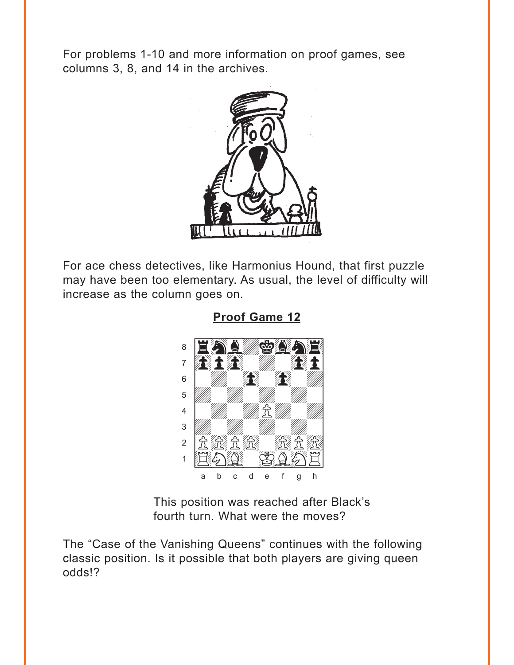<span id="page-1-0"></span>For problems 1-10 and more information on proof games, see columns 3, 8, and 14 in the archives.



For ace chess detectives, like Harmonius Hound, that first puzzle may have been too elementary. As usual, the level of difficulty will increase as the column goes on.



**Proof Game 12** 

This position was reached after Black's fourth turn. What were the moves?

The "Case of the Vanishing Queens" continues with the following classic position. Is it possible that both players are giving queen odds!?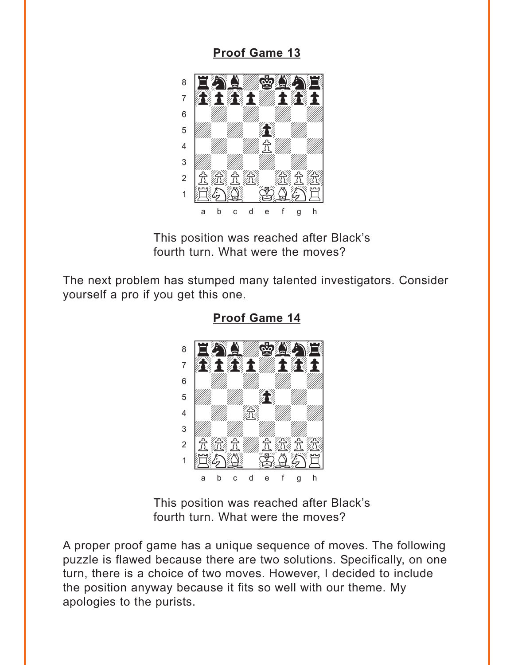### **Proof Game 13**

<span id="page-2-0"></span>

This position was reached after Black's fourth turn. What were the moves?

The next problem has stumped many talented investigators. Consider yourself a pro if you get this one.



**Proof Game 14** 

This position was reached after Black's fourth turn. What were the moves?

A proper proof game has a unique sequence of moves. The following puzzle is flawed because there are two solutions. Specifically, on one turn, there is a choice of two moves. However, I decided to include the position anyway because it fits so well with our theme. My apologies to the purists.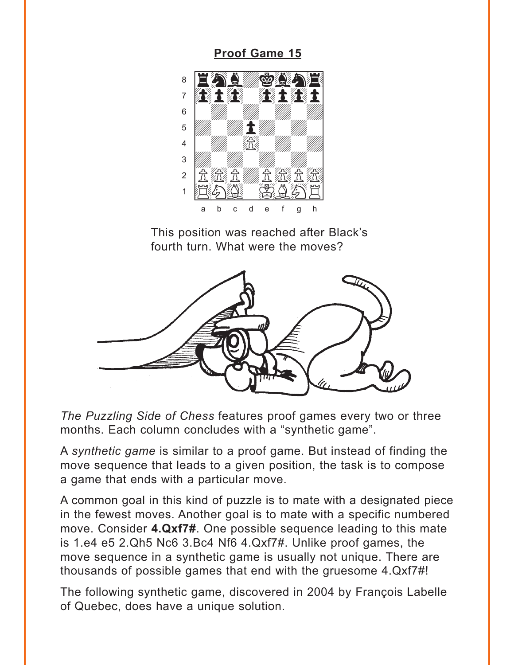<span id="page-3-0"></span>**Proof Game 15** 



This position was reached after Black's fourth turn. What were the moves?



The Puzzling Side of Chess features proof games every two or three months. Each column concludes with a "synthetic game".

A synthetic game is similar to a proof game. But instead of finding the move sequence that leads to a given position, the task is to compose a game that ends with a particular move.

A common goal in this kind of puzzle is to mate with a designated piece in the fewest moves. Another goal is to mate with a specific numbered move. Consider 4.Qxf7#. One possible sequence leading to this mate is 1.e4 e5 2.Qh5 Nc6 3.Bc4 Nf6 4.Qxf7#. Unlike proof games, the move sequence in a synthetic game is usually not unique. There are thousands of possible games that end with the gruesome 4.Qxf7#!

The following synthetic game, discovered in 2004 by François Labelle of Quebec, does have a unique solution.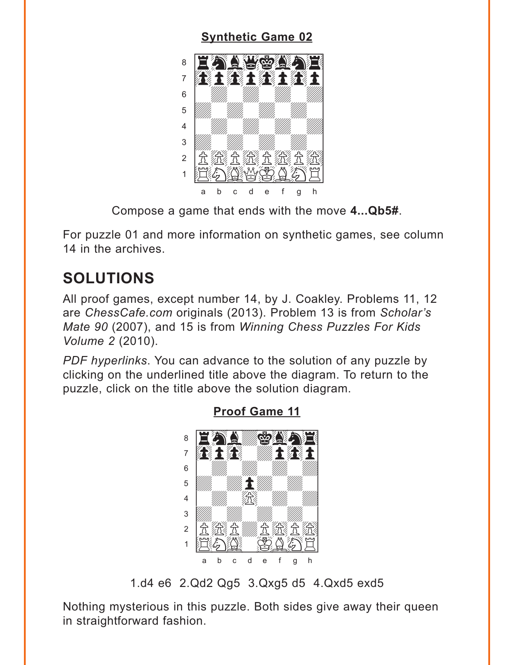## **[Synthetic Game 02](#page-7-0)**

<span id="page-4-0"></span>

Compose a game that ends with the move **4...Qb5#**.

For puzzle 01 and more information on synthetic games, see column 14 in the archives

## **SOLUTIONS**

All proof games, except number 14, by J. Coakley. Problems 11, 12 are *ChessCafe.com* originals (2013). Problem 13 is from *Scholar's Mate 90* (2007), and 15 is from *Winning Chess Puzzles For Kids Volume 2* (2010).

*PDF hyperlinks*. You can advance to the solution of any puzzle by clicking on the underlined title above the diagram. To return to the puzzle, click on the title above the solution diagram.



**[Proof Game 11](#page-0-0)**

1.d4 e6 2.Qd2 Qg5 3.Qxg5 d5 4.Qxd5 exd5

Nothing mysterious in this puzzle. Both sides give away their queen in straightforward fashion.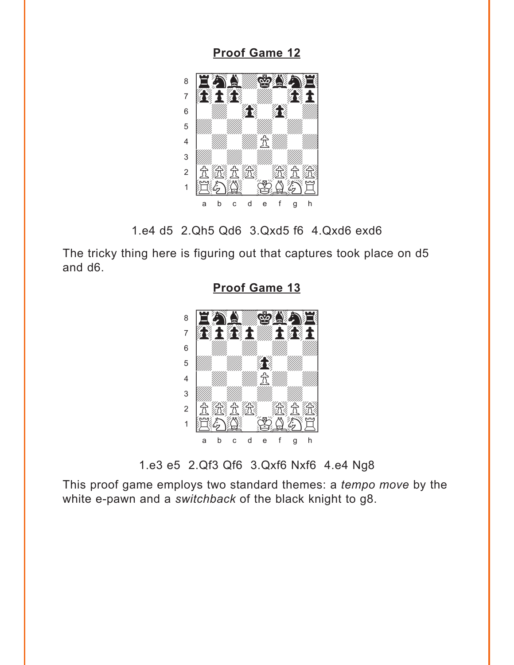<span id="page-5-0"></span>**[Proof Game 12](#page-1-0)**



1.e4 d5 2.Qh5 Qd6 3.Qxd5 f6 4.Qxd6 exd6

The tricky thing here is figuring out that captures took place on d5 and d6.



**[Proof Game 13](#page-2-0)**

1.e3 e5 2.Qf3 Qf6 3.Qxf6 Nxf6 4.e4 Ng8

This proof game employs two standard themes: a *tempo move* by the white e-pawn and a *switchback* of the black knight to g8.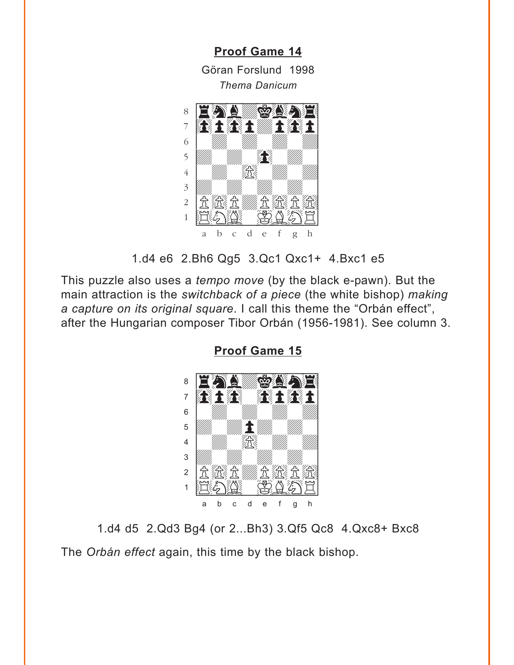**[Proof Game 14](#page-2-0)**

Göran Forslund 1998 *Thema Danicum*

<span id="page-6-0"></span>

1.d4 e6 2.Bh6 Qg5 3.Qc1 Qxc1+ 4.Bxc1 e5

This puzzle also uses a *tempo move* (by the black e-pawn). But the main attraction is the *switchback of a piece* (the white bishop) *making a capture on its original square*. I call this theme the "Orbán effect", after the Hungarian composer Tibor Orbán (1956-1981). See column 3.



**[Proof Game 15](#page-3-0)**

1.d4 d5 2.Qd3 Bg4 (or 2...Bh3) 3.Qf5 Qc8 4.Qxc8+ Bxc8 The *Orbán effect* again, this time by the black bishop.